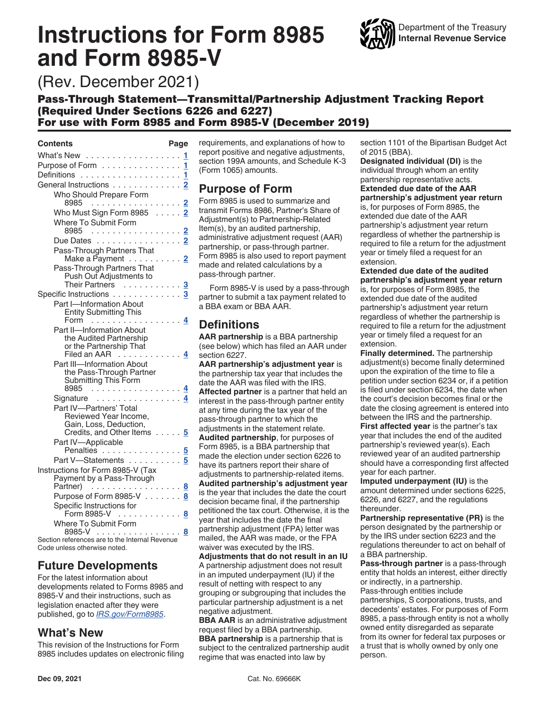# **Instructions for Form 8985 and Form 8985-V**



(Rev. December 2021)

# Pass-Through Statement—Transmittal/Partnership Adjustment Tracking Report (Required Under Sections 6226 and 6227)

For use with Form 8985 and Form 8985-V (December 2019)

#### **Contents Page**

| What's New 1                                                   |    |
|----------------------------------------------------------------|----|
| Purpose of Form 1                                              |    |
|                                                                | 1. |
| General Instructions 2                                         |    |
| Who Should Prepare Form                                        |    |
| 8985                                                           | 2  |
| Who Must Sign Form 8985 2                                      |    |
| Where To Submit Form<br>8985 <u>2</u>                          |    |
| Due Dates 2                                                    |    |
| Pass-Through Partners That                                     |    |
| Make a P̄ayment ......... <mark>2</mark>                       |    |
| Pass-Through Partners That                                     |    |
| Push Out Adjustments to                                        |    |
| Their Partners                                                 |    |
| Specific Instructions 3<br>Part I-Information About            |    |
| <b>Entity Submitting This</b>                                  |    |
| Form 4                                                         |    |
| Part II-Information About                                      |    |
| the Audited Partnership                                        |    |
| or the Partnership That<br>Filed an AAR $\ldots$ $\frac{4}{3}$ |    |
| Part III-Information About                                     |    |
| the Pass-Through Partner                                       |    |
| Submitting This Form                                           |    |
| 8985                                                           |    |
| Signature 4<br>Part IV-Partners' Total                         |    |
| Reviewed Year Income,                                          |    |
| Gain, Loss, Deduction,                                         |    |
| Credits, and Other Items 5                                     |    |
| Part IV-Applicable                                             |    |
| Penalties                                                      |    |
| Part V-Statements 5                                            |    |
| Instructions for Form 8985-V (Tax<br>Payment by a Pass-Through |    |
| Partner)  8                                                    |    |
| Purpose of Form 8985-V 8                                       |    |
| Specific Instructions for                                      |    |
| Form 8985-V 8                                                  |    |
| Where To Submit Form                                           |    |
| 8985-V 8                                                       |    |

Section references are to the Internal Revenue Code unless otherwise noted.

# **Future Developments**

For the latest information about developments related to Forms 8985 and 8985-V and their instructions, such as legislation enacted after they were published, go to *[IRS.gov/Form8985](https://www.irs.gov/forms-pubs/about-form-8985)*.

# **What's New**

This revision of the Instructions for Form 8985 includes updates on electronic filing requirements, and explanations of how to report positive and negative adjustments, section 199A amounts, and Schedule K-3 (Form 1065) amounts.

# **Purpose of Form**

Form 8985 is used to summarize and transmit Forms 8986, Partner's Share of Adjustment(s) to Partnership-Related Item(s), by an audited partnership, administrative adjustment request (AAR) partnership, or pass-through partner. Form 8985 is also used to report payment made and related calculations by a pass-through partner.

Form 8985-V is used by a pass-through partner to submit a tax payment related to a BBA exam or BBA AAR.

# **Definitions**

**AAR partnership** is a BBA partnership (see below) which has filed an AAR under section 6227.

**AAR partnership's adjustment year** is the partnership tax year that includes the date the AAR was filed with the IRS. **Affected partner** is a partner that held an interest in the pass-through partner entity at any time during the tax year of the pass-through partner to which the adjustments in the statement relate.

**Audited partnership**, for purposes of Form 8985, is a BBA partnership that made the election under section 6226 to have its partners report their share of adjustments to partnership-related items. **Audited partnership's adjustment year**  is the year that includes the date the court decision became final, if the partnership petitioned the tax court. Otherwise, it is the year that includes the date the final partnership adjustment (FPA) letter was mailed, the AAR was made, or the FPA

waiver was executed by the IRS. **Adjustments that do not result in an IU**  A partnership adjustment does not result in an imputed underpayment (IU) if the result of netting with respect to any grouping or subgrouping that includes the particular partnership adjustment is a net negative adjustment.

**BBA AAR** is an administrative adjustment request filed by a BBA partnership. **BBA partnership** is a partnership that is subject to the centralized partnership audit regime that was enacted into law by

section 1101 of the Bipartisan Budget Act of 2015 (BBA).

**Designated individual (DI)** is the individual through whom an entity partnership representative acts. **Extended due date of the AAR partnership's adjustment year return**  is, for purposes of Form 8985, the extended due date of the AAR partnership's adjustment year return regardless of whether the partnership is required to file a return for the adjustment year or timely filed a request for an extension.

**Extended due date of the audited partnership's adjustment year return**  is, for purposes of Form 8985, the extended due date of the audited partnership's adjustment year return regardless of whether the partnership is required to file a return for the adjustment year or timely filed a request for an extension.

**Finally determined.** The partnership adjustment(s) become finally determined upon the expiration of the time to file a petition under section 6234 or, if a petition is filed under section 6234, the date when the court's decision becomes final or the date the closing agreement is entered into between the IRS and the partnership. **First affected year** is the partner's tax year that includes the end of the audited partnership's reviewed year(s). Each reviewed year of an audited partnership should have a corresponding first affected

year for each partner. **Imputed underpayment (IU)** is the amount determined under sections 6225, 6226, and 6227, and the regulations thereunder.

**Partnership representative (PR)** is the person designated by the partnership or by the IRS under section 6223 and the regulations thereunder to act on behalf of a BBA partnership.

**Pass-through partner** is a pass-through entity that holds an interest, either directly or indirectly, in a partnership. Pass-through entities include

partnerships, S corporations, trusts, and decedents' estates. For purposes of Form 8985, a pass-through entity is not a wholly owned entity disregarded as separate from its owner for federal tax purposes or a trust that is wholly owned by only one person.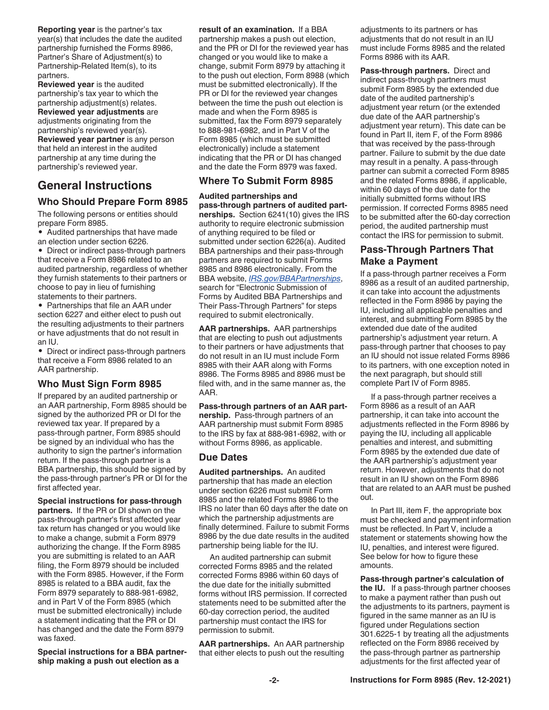<span id="page-1-0"></span>**Reporting year** is the partner's tax year(s) that includes the date the audited partnership furnished the Forms 8986, Partner's Share of Adjustment(s) to Partnership-Related Item(s), to its partners.

**Reviewed year** is the audited partnership's tax year to which the partnership adjustment(s) relates. **Reviewed year adjustments** are adjustments originating from the partnership's reviewed year(s). **Reviewed year partner** is any person that held an interest in the audited partnership at any time during the partnership's reviewed year.

# **General Instructions**

#### **Who Should Prepare Form 8985**

The following persons or entities should prepare Form 8985.

• Audited partnerships that have made an election under section 6226.

• Direct or indirect pass-through partners that receive a Form 8986 related to an audited partnership, regardless of whether they furnish statements to their partners or choose to pay in lieu of furnishing statements to their partners.

• Partnerships that file an AAR under section 6227 and either elect to push out the resulting adjustments to their partners or have adjustments that do not result in an IU.

• Direct or indirect pass-through partners that receive a Form 8986 related to an AAR partnership.

#### **Who Must Sign Form 8985**

If prepared by an audited partnership or an AAR partnership, Form 8985 should be signed by the authorized PR or DI for the reviewed tax year. If prepared by a pass-through partner, Form 8985 should be signed by an individual who has the authority to sign the partner's information return. If the pass-through partner is a BBA partnership, this should be signed by the pass-through partner's PR or DI for the first affected year.

**Special instructions for pass-through partners.** If the PR or DI shown on the pass-through partner's first affected year tax return has changed or you would like to make a change, submit a Form 8979 authorizing the change. If the Form 8985 you are submitting is related to an AAR filing, the Form 8979 should be included with the Form 8985. However, if the Form 8985 is related to a BBA audit, fax the Form 8979 separately to 888-981-6982, and in Part V of the Form 8985 (which must be submitted electronically) include a statement indicating that the PR or DI has changed and the date the Form 8979 was faxed.

**Special instructions for a BBA partnership making a push out election as a** 

**result of an examination.** If a BBA

partnership makes a push out election, and the PR or DI for the reviewed year has changed or you would like to make a change, submit Form 8979 by attaching it to the push out election, Form 8988 (which must be submitted electronically). If the PR or DI for the reviewed year changes between the time the push out election is made and when the Form 8985 is submitted, fax the Form 8979 separately to 888-981-6982, and in Part V of the Form 8985 (which must be submitted electronically) include a statement indicating that the PR or DI has changed and the date the Form 8979 was faxed.

#### **Where To Submit Form 8985**

#### **Audited partnerships and**

**pass-through partners of audited partnerships.** Section 6241(10) gives the IRS authority to require electronic submission of anything required to be filed or submitted under section 6226(a). Audited BBA partnerships and their pass-through partners are required to submit Forms 8985 and 8986 electronically. From the BBA website, *[IRS.gov/BBAPartnerships](https://www.irs.gov/businesses/partnerships/bba-partnership-audit-process)*, search for "Electronic Submission of Forms by Audited BBA Partnerships and Their Pass-Through Partners" for steps required to submit electronically.

**AAR partnerships.** AAR partnerships that are electing to push out adjustments to their partners or have adjustments that do not result in an IU must include Form 8985 with their AAR along with Forms 8986. The Forms 8985 and 8986 must be filed with, and in the same manner as, the AAR.

#### **Pass-through partners of an AAR part-**

**nership.** Pass-through partners of an AAR partnership must submit Form 8985 to the IRS by fax at 888-981-6982, with or without Forms 8986, as applicable.

#### **Due Dates**

**Audited partnerships.** An audited partnership that has made an election under section 6226 must submit Form 8985 and the related Forms 8986 to the IRS no later than 60 days after the date on which the partnership adjustments are finally determined. Failure to submit Forms 8986 by the due date results in the audited partnership being liable for the IU.

An audited partnership can submit corrected Forms 8985 and the related corrected Forms 8986 within 60 days of the due date for the initially submitted forms without IRS permission. If corrected statements need to be submitted after the 60-day correction period, the audited partnership must contact the IRS for permission to submit.

**AAR partnerships.** An AAR partnership that either elects to push out the resulting

adjustments to its partners or has adjustments that do not result in an IU must include Forms 8985 and the related Forms 8986 with its AAR.

**Pass-through partners.** Direct and indirect pass-through partners must submit Form 8985 by the extended due date of the audited partnership's adjustment year return (or the extended due date of the AAR partnership's adjustment year return). This date can be found in Part II, item F, of the Form 8986 that was received by the pass-through partner. Failure to submit by the due date may result in a penalty. A pass-through partner can submit a corrected Form 8985 and the related Forms 8986, if applicable, within 60 days of the due date for the initially submitted forms without IRS permission. If corrected Forms 8985 need to be submitted after the 60-day correction period, the audited partnership must contact the IRS for permission to submit.

## **Pass-Through Partners That Make a Payment**

If a pass-through partner receives a Form 8986 as a result of an audited partnership, it can take into account the adjustments reflected in the Form 8986 by paying the IU, including all applicable penalties and interest, and submitting Form 8985 by the extended due date of the audited partnership's adjustment year return. A pass-through partner that chooses to pay an IU should not issue related Forms 8986 to its partners, with one exception noted in the next paragraph, but should still complete Part IV of Form 8985.

If a pass-through partner receives a Form 8986 as a result of an AAR partnership, it can take into account the adjustments reflected in the Form 8986 by paying the IU, including all applicable penalties and interest, and submitting Form 8985 by the extended due date of the AAR partnership's adjustment year return. However, adjustments that do not result in an IU shown on the Form 8986 that are related to an AAR must be pushed out.

In Part III, item F, the appropriate box must be checked and payment information must be reflected. In Part V, include a statement or statements showing how the IU, penalties, and interest were figured. See below for how to figure these amounts.

**Pass-through partner's calculation of the IU.** If a pass-through partner chooses to make a payment rather than push out the adjustments to its partners, payment is figured in the same manner as an IU is figured under Regulations section 301.6225-1 by treating all the adjustments reflected on the Form 8986 received by the pass-through partner as partnership adjustments for the first affected year of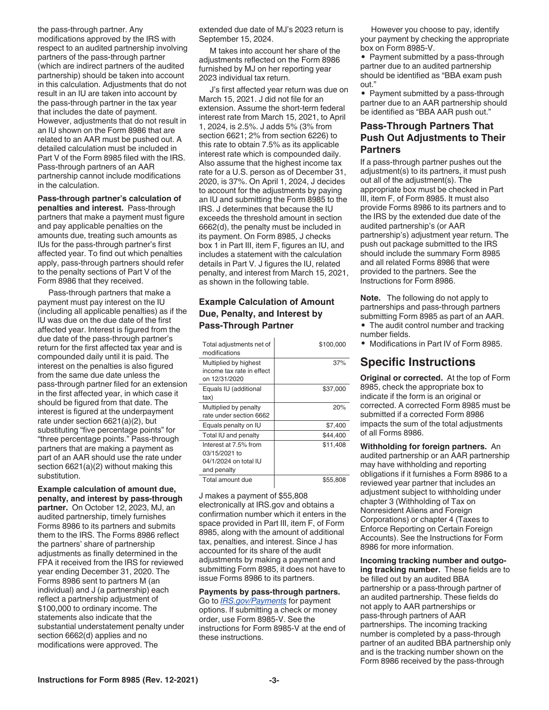<span id="page-2-0"></span>the pass-through partner. Any modifications approved by the IRS with respect to an audited partnership involving partners of the pass-through partner (which are indirect partners of the audited partnership) should be taken into account in this calculation. Adjustments that do not result in an IU are taken into account by the pass-through partner in the tax year that includes the date of payment. However, adjustments that do not result in an IU shown on the Form 8986 that are related to an AAR must be pushed out. A detailed calculation must be included in Part V of the Form 8985 filed with the IRS. Pass-through partners of an AAR partnership cannot include modifications in the calculation.

**Pass-through partner's calculation of penalties and interest.** Pass-through partners that make a payment must figure and pay applicable penalties on the amounts due, treating such amounts as IUs for the pass-through partner's first affected year. To find out which penalties apply, pass-through partners should refer to the penalty sections of Part V of the Form 8986 that they received.

Pass-through partners that make a payment must pay interest on the IU (including all applicable penalties) as if the IU was due on the due date of the first affected year. Interest is figured from the due date of the pass-through partner's return for the first affected tax year and is compounded daily until it is paid. The interest on the penalties is also figured from the same due date unless the pass-through partner filed for an extension in the first affected year, in which case it should be figured from that date. The interest is figured at the underpayment rate under section 6621(a)(2), but substituting "five percentage points" for "three percentage points." Pass-through partners that are making a payment as part of an AAR should use the rate under section 6621(a)(2) without making this substitution.

**Example calculation of amount due, penalty, and interest by pass-through partner.** On October 12, 2023, MJ, an audited partnership, timely furnishes Forms 8986 to its partners and submits them to the IRS. The Forms 8986 reflect the partners' share of partnership adjustments as finally determined in the FPA it received from the IRS for reviewed year ending December 31, 2020. The Forms 8986 sent to partners M (an individual) and J (a partnership) each reflect a partnership adjustment of \$100,000 to ordinary income. The statements also indicate that the substantial understatement penalty under section 6662(d) applies and no modifications were approved. The

extended due date of MJ's 2023 return is September 15, 2024.

M takes into account her share of the adjustments reflected on the Form 8986 furnished by MJ on her reporting year 2023 individual tax return.

J's first affected year return was due on March 15, 2021. J did not file for an extension. Assume the short-term federal interest rate from March 15, 2021, to April 1, 2024, is 2.5%. J adds 5% (3% from section 6621; 2% from section 6226) to this rate to obtain 7.5% as its applicable interest rate which is compounded daily. Also assume that the highest income tax rate for a U.S. person as of December 31, 2020, is 37%. On April 1, 2024, J decides to account for the adjustments by paying an IU and submitting the Form 8985 to the IRS. J determines that because the IU exceeds the threshold amount in section 6662(d), the penalty must be included in its payment. On Form 8985, J checks box 1 in Part III, item F, figures an IU, and includes a statement with the calculation details in Part V. J figures the IU, related penalty, and interest from March 15, 2021, as shown in the following table.

#### **Example Calculation of Amount Due, Penalty, and Interest by Pass-Through Partner**

| Total adjustments net of<br>modifications                                      | \$100,000 |
|--------------------------------------------------------------------------------|-----------|
| Multiplied by highest<br>income tax rate in effect<br>on 12/31/2020            | 37%       |
| Equals IU (additional<br>tax)                                                  | \$37,000  |
| Multiplied by penalty<br>rate under section 6662                               | 20%       |
| Equals penalty on IU                                                           | \$7,400   |
| Total IU and penalty                                                           | \$44,400  |
| Interest at 7.5% from<br>03/15/2021 to<br>04/1/2024 on total IU<br>and penalty | \$11,408  |
| Total amount due                                                               | \$55,808  |

J makes a payment of \$55,808 electronically at IRS.gov and obtains a confirmation number which it enters in the space provided in Part III, item F, of Form 8985, along with the amount of additional tax, penalties, and interest. Since J has accounted for its share of the audit adjustments by making a payment and submitting Form 8985, it does not have to issue Forms 8986 to its partners.

**Payments by pass-through partners.**  Go to *[IRS.gov/Payments](https://www.irs.gov/payments)* for payment options. If submitting a check or money order, use Form 8985-V. See the instructions for Form 8985-V at the end of these instructions.

However you choose to pay, identify your payment by checking the appropriate box on Form 8985-V.

• Payment submitted by a pass-through partner due to an audited partnership should be identified as "BBA exam push out."

• Payment submitted by a pass-through partner due to an AAR partnership should be identified as "BBA AAR push out."

## **Pass-Through Partners That Push Out Adjustments to Their Partners**

If a pass-through partner pushes out the adjustment(s) to its partners, it must push out all of the adjustment(s). The appropriate box must be checked in Part III, item F, of Form 8985. It must also provide Forms 8986 to its partners and to the IRS by the extended due date of the audited partnership's (or AAR partnership's) adjustment year return. The push out package submitted to the IRS should include the summary Form 8985 and all related Forms 8986 that were provided to the partners. See the Instructions for Form 8986.

**Note.** The following do not apply to partnerships and pass-through partners submitting Form 8985 as part of an AAR. • The audit control number and tracking number fields.

• Modifications in Part IV of Form 8985.

# **Specific Instructions**

**Original or corrected.** At the top of Form 8985, check the appropriate box to indicate if the form is an original or corrected. A corrected Form 8985 must be submitted if a corrected Form 8986 impacts the sum of the total adjustments of all Forms 8986.

**Withholding for foreign partners.** An audited partnership or an AAR partnership may have withholding and reporting obligations if it furnishes a Form 8986 to a reviewed year partner that includes an adjustment subject to withholding under chapter 3 (Withholding of Tax on Nonresident Aliens and Foreign Corporations) or chapter 4 (Taxes to Enforce Reporting on Certain Foreign Accounts). See the Instructions for Form 8986 for more information.

**Incoming tracking number and outgoing tracking number.** These fields are to be filled out by an audited BBA partnership or a pass-through partner of an audited partnership. These fields do not apply to AAR partnerships or pass-through partners of AAR partnerships. The incoming tracking number is completed by a pass-through partner of an audited BBA partnership only and is the tracking number shown on the Form 8986 received by the pass-through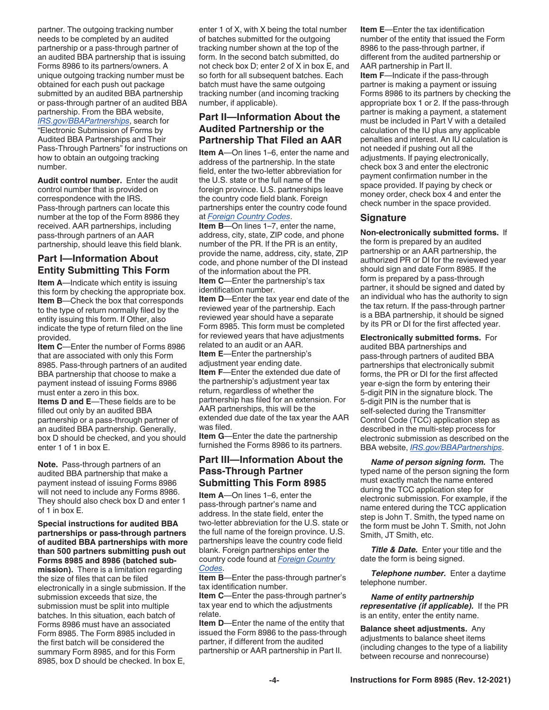<span id="page-3-0"></span>partner. The outgoing tracking number needs to be completed by an audited partnership or a pass-through partner of an audited BBA partnership that is issuing Forms 8986 to its partners/owners. A unique outgoing tracking number must be obtained for each push out package submitted by an audited BBA partnership or pass-through partner of an audited BBA partnership. From the BBA website, *[IRS.gov/BBAPartnerships](https://www.irs.gov/businesses/partnerships/bba-partnership-audit-process)*, search for "Electronic Submission of Forms by Audited BBA Partnerships and Their Pass-Through Partners" for instructions on how to obtain an outgoing tracking number.

**Audit control number.** Enter the audit control number that is provided on correspondence with the IRS. Pass-through partners can locate this number at the top of the Form 8986 they received. AAR partnerships, including pass-through partners of an AAR partnership, should leave this field blank.

## **Part I—Information About Entity Submitting This Form**

**Item A**—Indicate which entity is issuing this form by checking the appropriate box. **Item B**—Check the box that corresponds to the type of return normally filed by the entity issuing this form. If Other, also indicate the type of return filed on the line provided.

**Item C**—Enter the number of Forms 8986 that are associated with only this Form 8985. Pass-through partners of an audited BBA partnership that choose to make a payment instead of issuing Forms 8986 must enter a zero in this box.

**Items D and E**—These fields are to be filled out only by an audited BBA partnership or a pass-through partner of an audited BBA partnership. Generally, box D should be checked, and you should enter 1 of 1 in box E.

**Note.** Pass-through partners of an audited BBA partnership that make a payment instead of issuing Forms 8986 will not need to include any Forms 8986. They should also check box D and enter 1 of 1 in box E.

**Special instructions for audited BBA partnerships or pass-through partners of audited BBA partnerships with more than 500 partners submitting push out Forms 8985 and 8986 (batched submission).** There is a limitation regarding the size of files that can be filed electronically in a single submission. If the submission exceeds that size, the submission must be split into multiple batches. In this situation, each batch of Forms 8986 must have an associated Form 8985. The Form 8985 included in the first batch will be considered the summary Form 8985, and for this Form 8985, box D should be checked. In box E,

enter 1 of X, with X being the total number of batches submitted for the outgoing tracking number shown at the top of the form. In the second batch submitted, do not check box D; enter 2 of X in box E, and so forth for all subsequent batches. Each batch must have the same outgoing tracking number (and incoming tracking number, if applicable).

## **Part II—Information About the Audited Partnership or the Partnership That Filed an AAR**

**Item A**—On lines 1–6, enter the name and address of the partnership. In the state field, enter the two-letter abbreviation for the U.S. state or the full name of the foreign province. U.S. partnerships leave the country code field blank. Foreign partnerships enter the country code found at *[Foreign Country Codes](https://www.irs.gov/e-file-providers/foreign-country-code-listing-for-modernized-e-file)*.

**Item B**—On lines 1–7, enter the name, address, city, state, ZIP code, and phone number of the PR. If the PR is an entity, provide the name, address, city, state, ZIP code, and phone number of the DI instead of the information about the PR. **Item C**—Enter the partnership's tax

identification number.

**Item D**—Enter the tax year end date of the reviewed year of the partnership. Each reviewed year should have a separate Form 8985. This form must be completed for reviewed years that have adjustments related to an audit or an AAR.

**Item E**—Enter the partnership's adjustment year ending date. **Item F**—Enter the extended due date of the partnership's adjustment year tax return, regardless of whether the partnership has filed for an extension. For AAR partnerships, this will be the extended due date of the tax year the AAR was filed.

**Item G**—Enter the date the partnership furnished the Forms 8986 to its partners.

#### **Part III—Information About the Pass-Through Partner Submitting This Form 8985**

**Item A**—On lines 1–6, enter the pass-through partner's name and address. In the state field, enter the two-letter abbreviation for the U.S. state or the full name of the foreign province. U.S. partnerships leave the country code field blank. Foreign partnerships enter the country code found at *[Foreign Country](https://www.irs.gov/e-file-providers/foreign-country-code-listing-for-modernized-e-file)  [Codes](https://www.irs.gov/e-file-providers/foreign-country-code-listing-for-modernized-e-file)*.

**Item B**—Enter the pass-through partner's tax identification number.

**Item C**—Enter the pass-through partner's tax year end to which the adjustments relate.

**Item D**—Enter the name of the entity that issued the Form 8986 to the pass-through partner, if different from the audited partnership or AAR partnership in Part II.

**Item E**—Enter the tax identification number of the entity that issued the Form 8986 to the pass-through partner, if different from the audited partnership or AAR partnership in Part II. **Item F**—Indicate if the pass-through partner is making a payment or issuing Forms 8986 to its partners by checking the appropriate box 1 or 2. If the pass-through partner is making a payment, a statement must be included in Part V with a detailed calculation of the IU plus any applicable penalties and interest. An IU calculation is not needed if pushing out all the adjustments. If paying electronically, check box 3 and enter the electronic payment confirmation number in the space provided. If paying by check or money order, check box 4 and enter the check number in the space provided.

### **Signature**

**Non-electronically submitted forms.** If the form is prepared by an audited partnership or an AAR partnership, the authorized PR or DI for the reviewed year should sign and date Form 8985. If the form is prepared by a pass-through partner, it should be signed and dated by an individual who has the authority to sign the tax return. If the pass-through partner is a BBA partnership, it should be signed by its PR or DI for the first affected year.

**Electronically submitted forms.** For audited BBA partnerships and pass-through partners of audited BBA partnerships that electronically submit forms, the PR or DI for the first affected year e-sign the form by entering their 5-digit PIN in the signature block. The 5-digit PIN is the number that is self-selected during the Transmitter Control Code (TCC) application step as described in the multi-step process for electronic submission as described on the BBA website, *[IRS.gov/BBAPartnerships](https://www.irs.gov/businesses/partnerships/bba-partnership-audit-process)*.

*Name of person signing form.* The typed name of the person signing the form must exactly match the name entered during the TCC application step for electronic submission. For example, if the name entered during the TCC application step is John T. Smith, the typed name on the form must be John T. Smith, not John Smith, JT Smith, etc.

**Title & Date.** Enter your title and the date the form is being signed.

*Telephone number.* Enter a daytime telephone number.

*Name of entity partnership representative (if applicable).* If the PR is an entity, enter the entity name.

**Balance sheet adjustments.** Any adjustments to balance sheet items (including changes to the type of a liability between recourse and nonrecourse)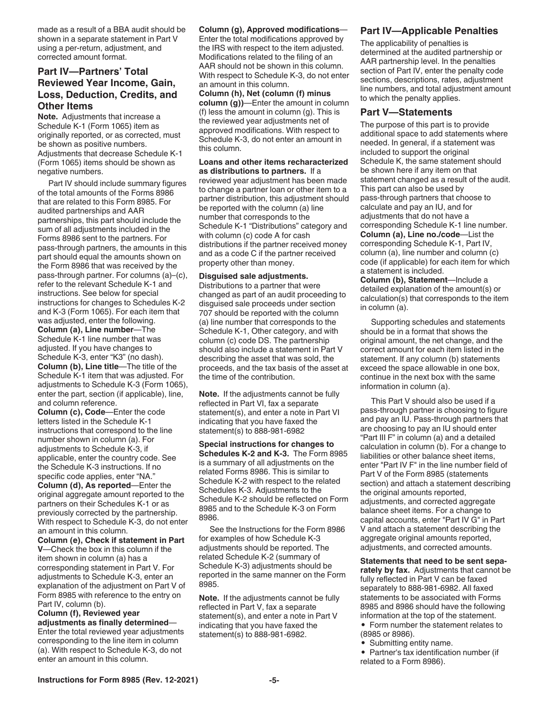<span id="page-4-0"></span>made as a result of a BBA audit should be shown in a separate statement in Part V using a per-return, adjustment, and corrected amount format.

### **Part IV—Partners' Total Reviewed Year Income, Gain, Loss, Deduction, Credits, and Other Items**

**Note.** Adjustments that increase a Schedule K-1 (Form 1065) item as originally reported, or as corrected, must be shown as positive numbers. Adjustments that decrease Schedule K-1 (Form 1065) items should be shown as negative numbers.

Part IV should include summary figures of the total amounts of the Forms 8986 that are related to this Form 8985. For audited partnerships and AAR partnerships, this part should include the sum of all adjustments included in the Forms 8986 sent to the partners. For pass-through partners, the amounts in this part should equal the amounts shown on the Form 8986 that was received by the pass-through partner. For columns (a)–(c), refer to the relevant Schedule K-1 and instructions. See below for special instructions for changes to Schedules K-2 and K-3 (Form 1065). For each item that was adjusted, enter the following.

**Column (a), Line number**—The Schedule K-1 line number that was adjusted. If you have changes to Schedule K-3, enter "K3" (no dash). **Column (b), Line title**—The title of the Schedule K-1 item that was adjusted. For adjustments to Schedule K-3 (Form 1065), enter the part, section (if applicable), line, and column reference.

**Column (c), Code**—Enter the code letters listed in the Schedule K-1 instructions that correspond to the line number shown in column (a). For adjustments to Schedule K-3, if applicable, enter the country code. See the Schedule K-3 instructions. If no specific code applies, enter "NA."

**Column (d), As reported**—Enter the original aggregate amount reported to the partners on their Schedules K-1 or as previously corrected by the partnership. With respect to Schedule K-3, do not enter an amount in this column.

**Column (e), Check if statement in Part V**—Check the box in this column if the item shown in column (a) has a corresponding statement in Part V. For adjustments to Schedule K-3, enter an explanation of the adjustment on Part V of Form 8985 with reference to the entry on Part IV, column (b).

**Column (f), Reviewed year adjustments as finally determined**— Enter the total reviewed year adjustments corresponding to the line item in column (a). With respect to Schedule K-3, do not enter an amount in this column.

**Column (g), Approved modifications**— Enter the total modifications approved by the IRS with respect to the item adjusted. Modifications related to the filing of an AAR should not be shown in this column. With respect to Schedule K-3, do not enter

an amount in this column. **Column (h), Net (column (f) minus column (g))**—Enter the amount in column (f) less the amount in column (g). This is the reviewed year adjustments net of approved modifications. With respect to Schedule K-3, do not enter an amount in this column.

#### **Loans and other items recharacterized as distributions to partners.** If a

reviewed year adjustment has been made to change a partner loan or other item to a partner distribution, this adjustment should be reported with the column (a) line number that corresponds to the Schedule K-1 "Distributions" category and with column (c) code A for cash distributions if the partner received money and as a code C if the partner received property other than money.

#### **Disguised sale adjustments.**

Distributions to a partner that were changed as part of an audit proceeding to disguised sale proceeds under section 707 should be reported with the column (a) line number that corresponds to the Schedule K-1, Other category, and with column (c) code DS. The partnership should also include a statement in Part V describing the asset that was sold, the proceeds, and the tax basis of the asset at the time of the contribution.

**Note.** If the adjustments cannot be fully reflected in Part VI, fax a separate statement(s), and enter a note in Part VI indicating that you have faxed the statement(s) to 888-981-6982

**Special instructions for changes to Schedules K-2 and K-3.** The Form 8985 is a summary of all adjustments on the related Forms 8986. This is similar to Schedule K-2 with respect to the related Schedules K-3. Adjustments to the Schedule K-2 should be reflected on Form 8985 and to the Schedule K-3 on Form 8986.

See the Instructions for the Form 8986 for examples of how Schedule K-3 adjustments should be reported. The related Schedule K-2 (summary of Schedule K-3) adjustments should be reported in the same manner on the Form 8985.

**Note.** If the adjustments cannot be fully reflected in Part V, fax a separate statement(s), and enter a note in Part V indicating that you have faxed the statement(s) to 888-981-6982.

### **Part IV—Applicable Penalties**

The applicability of penalties is determined at the audited partnership or AAR partnership level. In the penalties section of Part IV, enter the penalty code sections, descriptions, rates, adjustment line numbers, and total adjustment amount to which the penalty applies.

#### **Part V—Statements**

The purpose of this part is to provide additional space to add statements where needed. In general, if a statement was included to support the original Schedule K, the same statement should be shown here if any item on that statement changed as a result of the audit. This part can also be used by pass-through partners that choose to calculate and pay an IU, and for adjustments that do not have a corresponding Schedule K-1 line number. **Column (a), Line no./code**—List the corresponding Schedule K-1, Part IV, column (a), line number and column (c) code (if applicable) for each item for which a statement is included.

**Column (b), Statement**—Include a detailed explanation of the amount(s) or calculation(s) that corresponds to the item in column (a).

Supporting schedules and statements should be in a format that shows the original amount, the net change, and the correct amount for each item listed in the statement. If any column (b) statements exceed the space allowable in one box, continue in the next box with the same information in column (a).

This Part V should also be used if a pass-through partner is choosing to figure and pay an IU. Pass-through partners that are choosing to pay an IU should enter "Part III F" in column (a) and a detailed calculation in column (b). For a change to liabilities or other balance sheet items, enter "Part IV F" in the line number field of Part V of the Form 8985 (statements section) and attach a statement describing the original amounts reported, adjustments, and corrected aggregate balance sheet items. For a change to capital accounts, enter "Part IV G" in Part V and attach a statement describing the aggregate original amounts reported, adjustments, and corrected amounts.

**Statements that need to be sent separately by fax.** Adjustments that cannot be fully reflected in Part V can be faxed separately to 888-981-6982. All faxed statements to be associated with Forms 8985 and 8986 should have the following information at the top of the statement. • Form number the statement relates to

- (8985 or 8986).
- Submitting entity name.
- Partner's tax identification number (if related to a Form 8986).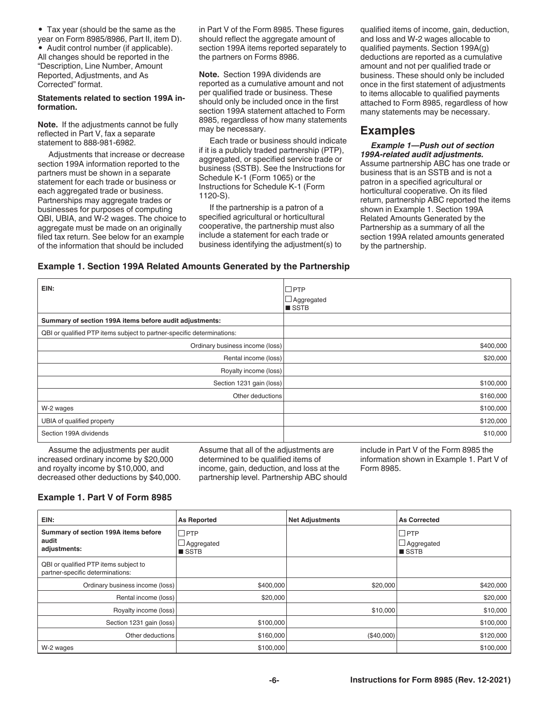• Tax year (should be the same as the

year on Form 8985/8986, Part II, item D). • Audit control number (if applicable). All changes should be reported in the "Description, Line Number, Amount Reported, Adjustments, and As Corrected" format.

#### **Statements related to section 199A information.**

**Note.** If the adjustments cannot be fully reflected in Part V, fax a separate statement to 888-981-6982.

Adjustments that increase or decrease section 199A information reported to the partners must be shown in a separate statement for each trade or business or each aggregated trade or business. Partnerships may aggregate trades or businesses for purposes of computing QBI, UBIA, and W-2 wages. The choice to aggregate must be made on an originally filed tax return. See below for an example of the information that should be included

in Part V of the Form 8985. These figures should reflect the aggregate amount of section 199A items reported separately to the partners on Forms 8986.

**Note.** Section 199A dividends are reported as a cumulative amount and not per qualified trade or business. These should only be included once in the first section 199A statement attached to Form 8985, regardless of how many statements may be necessary.

Each trade or business should indicate if it is a publicly traded partnership (PTP), aggregated, or specified service trade or business (SSTB). See the Instructions for Schedule K-1 (Form 1065) or the Instructions for Schedule K-1 (Form 1120-S).

If the partnership is a patron of a specified agricultural or horticultural cooperative, the partnership must also include a statement for each trade or business identifying the adjustment(s) to qualified items of income, gain, deduction, and loss and W-2 wages allocable to qualified payments. Section 199A(g) deductions are reported as a cumulative amount and not per qualified trade or business. These should only be included once in the first statement of adjustments to items allocable to qualified payments attached to Form 8985, regardless of how many statements may be necessary.

## **Examples**

*Example 1—Push out of section 199A-related audit adjustments.*  Assume partnership ABC has one trade or business that is an SSTB and is not a patron in a specified agricultural or horticultural cooperative. On its filed return, partnership ABC reported the items shown in Example 1. Section 199A Related Amounts Generated by the Partnership as a summary of all the section 199A related amounts generated by the partnership.

#### **Example 1. Section 199A Related Amounts Generated by the Partnership**

| EIN:                                                                   | ∣□PTP             |
|------------------------------------------------------------------------|-------------------|
|                                                                        | $\Box$ Aggregated |
|                                                                        | ■ SSTB            |
| Summary of section 199A items before audit adjustments:                |                   |
| QBI or qualified PTP items subject to partner-specific determinations: |                   |
| Ordinary business income (loss)                                        | \$400,000         |
| Rental income (loss)                                                   | \$20,000          |
| Royalty income (loss)                                                  |                   |
| Section 1231 gain (loss)                                               | \$100,000         |
| Other deductions                                                       | \$160,000         |
| W-2 wages                                                              | \$100,000         |
| UBIA of qualified property                                             | \$120,000         |
| Section 199A dividends                                                 | \$10,000          |

Assume the adjustments per audit increased ordinary income by \$20,000 and royalty income by \$10,000, and decreased other deductions by \$40,000. Assume that all of the adjustments are determined to be qualified items of income, gain, deduction, and loss at the partnership level. Partnership ABC should include in Part V of the Form 8985 the information shown in Example 1. Part V of Form 8985.

## **Example 1. Part V of Form 8985**

| EIN:                                                                      | <b>As Reported</b>                               | <b>Net Adjustments</b> | <b>As Corrected</b>                                 |
|---------------------------------------------------------------------------|--------------------------------------------------|------------------------|-----------------------------------------------------|
| Summary of section 199A items before<br>audit<br>adjustments:             | $\Box$ PTP<br>$\Box$ Aggregated<br><b>■</b> SSTB |                        | $\square$ PTP<br>$\Box$ Aggregated<br><b>■</b> SSTB |
| QBI or qualified PTP items subject to<br>partner-specific determinations: |                                                  |                        |                                                     |
| Ordinary business income (loss)                                           | \$400,000                                        | \$20,000               | \$420,000                                           |
| Rental income (loss)                                                      | \$20,000                                         |                        | \$20,000                                            |
| Royalty income (loss)                                                     |                                                  | \$10,000               | \$10,000                                            |
| Section 1231 gain (loss)                                                  | \$100,000                                        |                        | \$100,000                                           |
| Other deductions                                                          | \$160,000                                        | (\$40,000)             | \$120,000                                           |
| W-2 wages                                                                 | \$100,000                                        |                        | \$100,000                                           |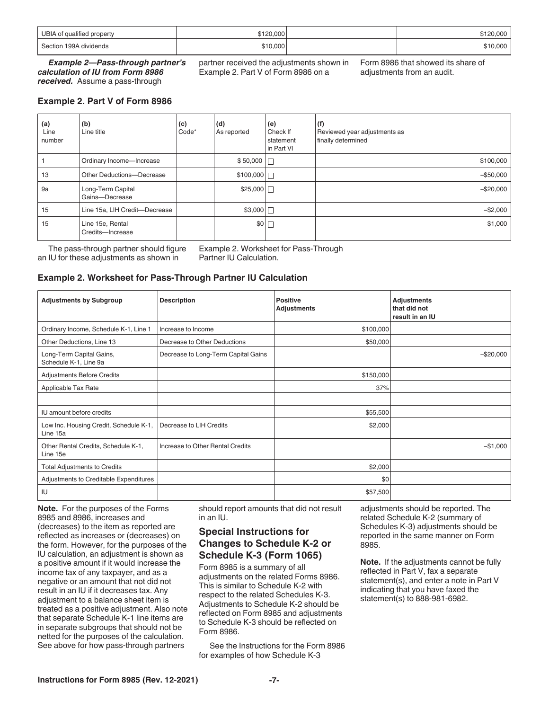| UBIA of qualified property | \$120,000 | .000   |
|----------------------------|-----------|--------|
| Section 199A dividends     | \$10,000  | 10.000 |

*Example 2—Pass-through partner's calculation of IU from Form 8986 received.* Assume a pass-through

partner received the adjustments shown in Example 2. Part V of Form 8986 on a

Form 8986 that showed its share of adjustments from an audit.

**Example 2. Part V of Form 8986**

| (a)<br>Line<br>number | (b)<br>Line title                    | (c)<br>Code* | (d)<br>As reported | (e)<br>Check If<br>statement<br>in Part VI | (f)<br>Reviewed year adjustments as<br>finally determined |
|-----------------------|--------------------------------------|--------------|--------------------|--------------------------------------------|-----------------------------------------------------------|
|                       | Ordinary Income-Increase             |              | $$50,000$          |                                            | \$100,000                                                 |
| 13                    | Other Deductions-Decrease            |              | \$100,000          |                                            | $-$ \$50,000                                              |
| 9a                    | Long-Term Capital<br>Gains-Decrease  |              | \$25,000           |                                            | $-$ \$20,000                                              |
| 15                    | Line 15a, LIH Credit-Decrease        |              | \$3,000            |                                            | $-$2,000$                                                 |
| 15                    | Line 15e, Rental<br>Credits-Increase |              | \$0                |                                            | \$1,000                                                   |

The pass-through partner should figure an IU for these adjustments as shown in

Example 2. Worksheet for Pass-Through Partner IU Calculation.

#### **Example 2. Worksheet for Pass-Through Partner IU Calculation**

| <b>Adjustments by Subgroup</b>                     | <b>Description</b>                  | <b>Positive</b><br><b>Adjustments</b> | <b>Adjustments</b><br>that did not<br>result in an IU |
|----------------------------------------------------|-------------------------------------|---------------------------------------|-------------------------------------------------------|
| Ordinary Income, Schedule K-1, Line 1              | Increase to Income                  | \$100,000                             |                                                       |
| Other Deductions, Line 13                          | Decrease to Other Deductions        | \$50,000                              |                                                       |
| Long-Term Capital Gains,<br>Schedule K-1, Line 9a  | Decrease to Long-Term Capital Gains |                                       | $-$20,000$                                            |
| <b>Adjustments Before Credits</b>                  |                                     | \$150,000                             |                                                       |
| Applicable Tax Rate                                |                                     | 37%                                   |                                                       |
|                                                    |                                     |                                       |                                                       |
| IU amount before credits                           |                                     | \$55,500                              |                                                       |
| Low Inc. Housing Credit, Schedule K-1,<br>Line 15a | Decrease to LIH Credits             | \$2,000                               |                                                       |
| Other Rental Credits, Schedule K-1,<br>Line 15e    | Increase to Other Rental Credits    |                                       | $-$1,000$                                             |
| <b>Total Adjustments to Credits</b>                |                                     | \$2,000                               |                                                       |
| Adjustments to Creditable Expenditures             |                                     | \$0                                   |                                                       |
| IU                                                 |                                     | \$57,500                              |                                                       |

**Note.** For the purposes of the Forms 8985 and 8986, increases and (decreases) to the item as reported are reflected as increases or (decreases) on the form. However, for the purposes of the IU calculation, an adjustment is shown as a positive amount if it would increase the income tax of any taxpayer, and as a negative or an amount that not did not result in an IU if it decreases tax. Any adjustment to a balance sheet item is treated as a positive adjustment. Also note that separate Schedule K-1 line items are in separate subgroups that should not be netted for the purposes of the calculation. See above for how pass-through partners

should report amounts that did not result in an IU.

#### **Special Instructions for Changes to Schedule K-2 or Schedule K-3 (Form 1065)**

Form 8985 is a summary of all adjustments on the related Forms 8986. This is similar to Schedule K-2 with respect to the related Schedules K-3. Adjustments to Schedule K-2 should be reflected on Form 8985 and adjustments to Schedule K-3 should be reflected on Form 8986.

See the Instructions for the Form 8986 for examples of how Schedule K-3

adjustments should be reported. The related Schedule K-2 (summary of Schedules K-3) adjustments should be reported in the same manner on Form 8985.

**Note.** If the adjustments cannot be fully reflected in Part V, fax a separate statement(s), and enter a note in Part V indicating that you have faxed the statement(s) to 888-981-6982.